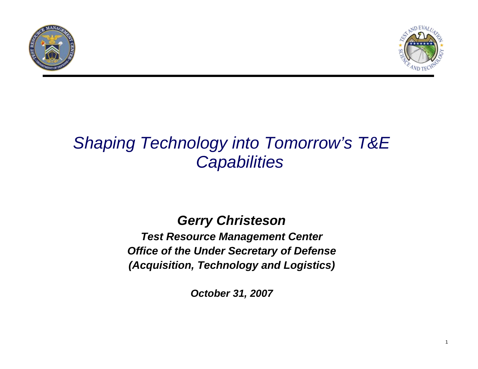



### *Shaping Technology into Tomorrow's T&E Capabilities*

# *Gerry Christeson*

*Test Resource Management Center Office of the Under Secretary of Defense (Acquisition, Technology and Logistics)*

*October 31, 2007*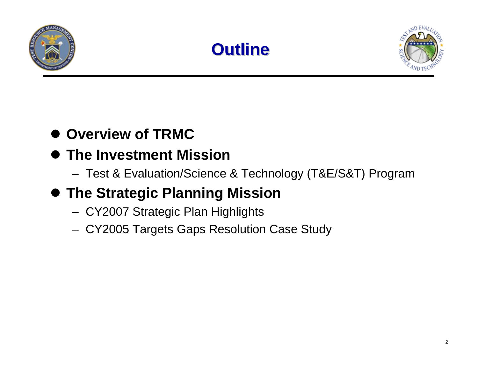





### $\bullet$  **Overview of TRMC**

### **• The Investment Mission**

– Test & Evaluation/Science & Technology (T&E/S&T) Program

### **• The Strategic Planning Mission**

- CY2007 Strategic Plan Highlights
- CY2005 Targets Gaps Resolution Case Study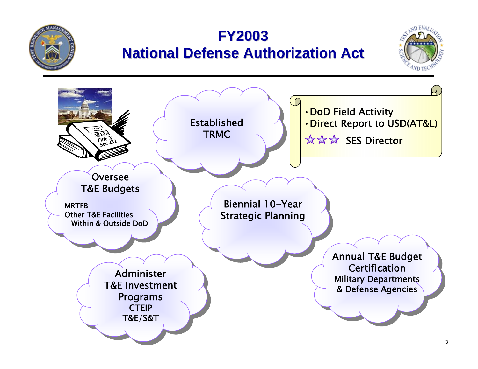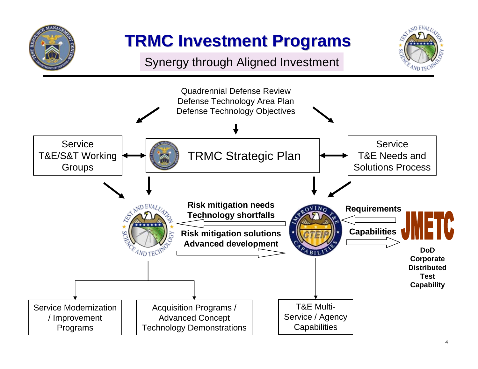

## **TRMC Investment Programs TRMC Investment Programs**

Synergy through Aligned Investment



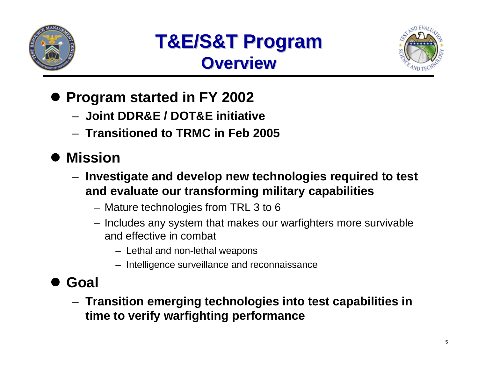



- **Program started in FY 2002** 
	- **Joint DDR&E / DOT&E initiative**
	- **Transitioned to TRMC in Feb 2005**
- $\bullet$  **Mission**
	- **Investigate and develop new technologies required to test and evaluate our transforming military capabilities**
		- Mature technologies from TRL 3 to 6
		- Includes any system that makes our warfighters more survivable and effective in combat
			- Lethal and non-lethal weapons
			- Intelligence surveillance and reconnaissance
- $\bullet$  **Goal**
	- **Transition emerging technologies into test capabilities in time to verify warfighting performance**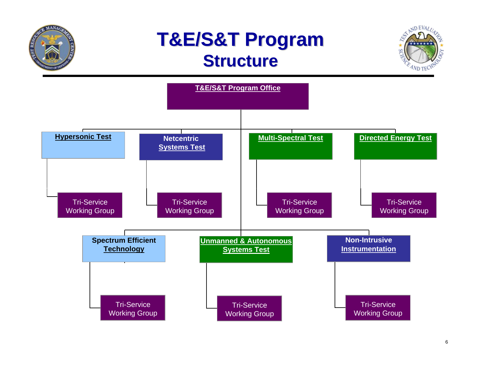

## **T&E/S&T Program T&E/S&T Program Structure Structure**



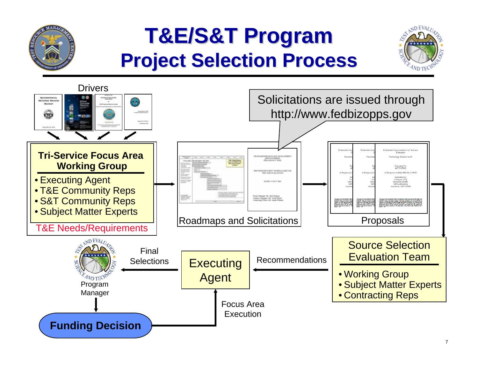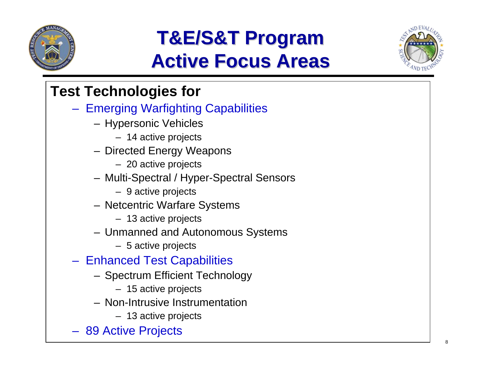

# **T&E/S&T Program T&E/S&T Program Active Focus Areas Active Focus Areas**



### **Test Technologies for**

- Emerging Warfighting Capabilities
	- Hypersonic Vehicles
		- 14 active projects
	- Directed Energy Weapons
		- 20 active projects
	- Multi-Spectral / Hyper-Spectral Sensors
		- 9 active projects
	- Netcentric Warfare Systems
		- 13 active projects
	- Unmanned and Autonomous Systems
		- 5 active projects
- Enhanced Test Capabilities
	- Spectrum Efficient Technology
		- 15 active projects
	- Non-Intrusive Instrumentation
		- 13 active projects
- 89 Active Projects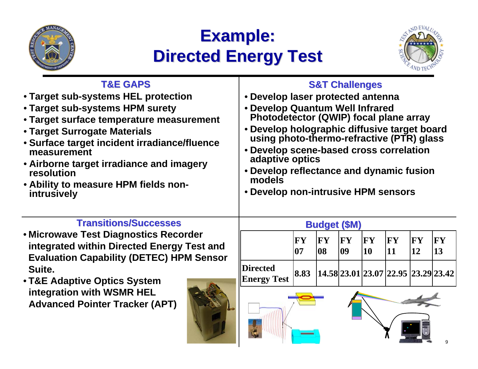

## **Example: Example: Directed Energy Test Directed Energy Test**



#### **S&T Challenges S&T Challenges** • **Develop laser protected antenna** • **Develop Quantum Well Infrared Photodetector (QWIP) focal plane array**  • **Develop holographic diffusive target board using photo-thermo-refractive (PTR) glass** • **Develop scene-based cross correlation adaptive optics** • **Develop reflectance and dynamic fusion models**• **Develop non-intrusive HPM sensors Transitions/Successes Transitions/Successes**• **Microwave Test Diagnostics Recorder integrated within Directed Energy Test and Evaluation Capability (DETEC) HPM Sensor Suite.**  • **T&E Adaptive Optics System integration with WSMR HEL Advanced Pointer Tracker (APT) Budget (\$M) Budget (\$M) T&E GAPS T&E GAPS**• **Target sub-systems HEL protection** • **Target sub-systems HPM surety**  • **Target surface temperature measurement** • **Target Surrogate Materials**  • **Surface target incident irradiance/fluence measurement**• **Airborne target irradiance and imagery resolution**• **Ability to measure HPM fields nonintrusively FY 07** $|{\bf F}{\bf Y}|$ **08** $|$ **FY 09FY 10FY 11** $|{\bf FY}|$ **12FY 13Directed Energy Test 8.83 14.58 23.01 23.07 22.95 23.29 23.42**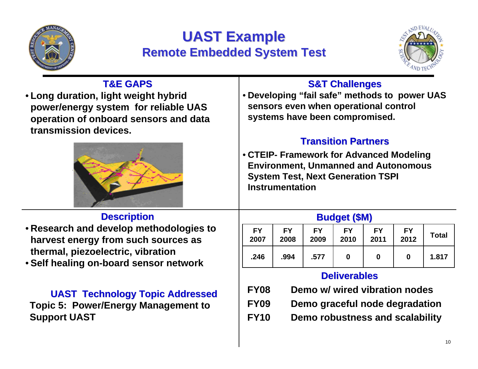

#### **UAST Example Remote Embedded System Test Remote Embedded System Test**



| <b>T&amp;E GAPS</b><br>• Long duration, light weight hybrid<br>power/energy system for reliable UAS<br>operation of onboard sensors and data<br>transmission devices. | <b>S&amp;T Challenges</b><br>• Developing "fail safe" methods to power UAS<br>sensors even when operational control<br>systems have been compromised.                                       |                   |                   |                     |                   |                                                                 |              |
|-----------------------------------------------------------------------------------------------------------------------------------------------------------------------|---------------------------------------------------------------------------------------------------------------------------------------------------------------------------------------------|-------------------|-------------------|---------------------|-------------------|-----------------------------------------------------------------|--------------|
|                                                                                                                                                                       | <b>Transition Partners</b><br>• CTEIP- Framework for Advanced Modeling<br><b>Environment, Unmanned and Autonomous</b><br><b>System Test, Next Generation TSPI</b><br><b>Instrumentation</b> |                   |                   |                     |                   |                                                                 |              |
| <b>Description</b>                                                                                                                                                    |                                                                                                                                                                                             |                   |                   | <b>Budget (\$M)</b> |                   |                                                                 |              |
| • Research and develop methodologies to<br>harvest energy from such sources as                                                                                        | <b>FY</b><br>2007                                                                                                                                                                           | <b>FY</b><br>2008 | <b>FY</b><br>2009 | <b>FY</b><br>2010   | <b>FY</b><br>2011 | <b>FY</b><br>2012                                               | <b>Total</b> |
| thermal, piezoelectric, vibration<br>• Self healing on-board sensor network                                                                                           | .246                                                                                                                                                                                        | .994              | .577              | 0                   | 0                 | $\mathbf{0}$                                                    | 1.817        |
|                                                                                                                                                                       | <b>Deliverables</b>                                                                                                                                                                         |                   |                   |                     |                   |                                                                 |              |
| <b>UAST Technology Topic Addressed</b><br><b>Topic 5: Power/Energy Management to</b>                                                                                  | <b>FY08</b><br><b>FY09</b>                                                                                                                                                                  |                   |                   |                     |                   | Demo w/ wired vibration nodes<br>Demo graceful node degradation |              |
| <b>Support UAST</b>                                                                                                                                                   | <b>FY10</b><br>Demo robustness and scalability                                                                                                                                              |                   |                   |                     |                   |                                                                 |              |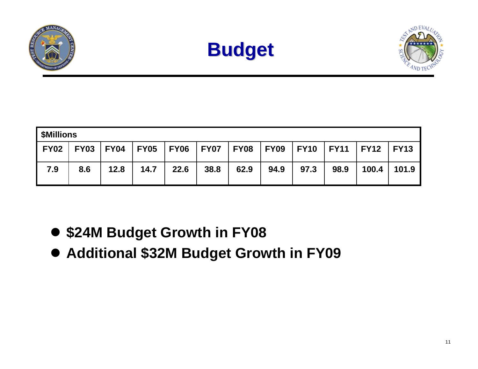





| <b>\$Millions</b> |             |             |      |                    |      |                    |      |      |              |             |       |
|-------------------|-------------|-------------|------|--------------------|------|--------------------|------|------|--------------|-------------|-------|
| <b>FY02</b>       | <b>FY03</b> | <b>FY04</b> |      | FY05   FY06   FY07 |      | FY08   FY09   FY10 |      |      | $\vert$ FY11 | FY12   FY13 |       |
| 7.9               | 8.6         | 12.8        | 14.7 | 22.6               | 38.8 | 62.9               | 94.9 | 97.3 | 98.9         | 100.4       | 101.9 |

- **\$24M Budget Growth in FY08**
- **Additional \$32M Budget Growth in FY09**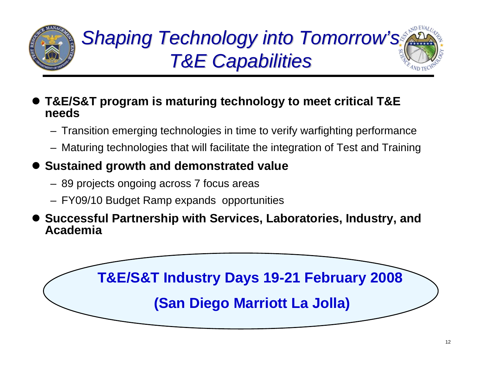

# *Shaping Shaping Technology into Tomorrow Technology into Tomorrow's T&E Capabilities T&E Capabilities*

- $\bullet$  **T&E/S&T program is maturing technology to meet critical T&E needs**
	- Transition emerging technologies in time to verify warfighting performance
	- Maturing technologies that will facilitate the integration of Test and Training
- $\bullet$  **Sustained growth and demonstrated value**
	- 89 projects ongoing across 7 focus areas
	- FY09/10 Budget Ramp expands opportunities
- $\bullet$  **Successful Partnership with Services, Laboratories, Industry, and Academia**

**T&E/S&T Industry Days 19-21 February 2008 (San Diego Marriott La Jolla)**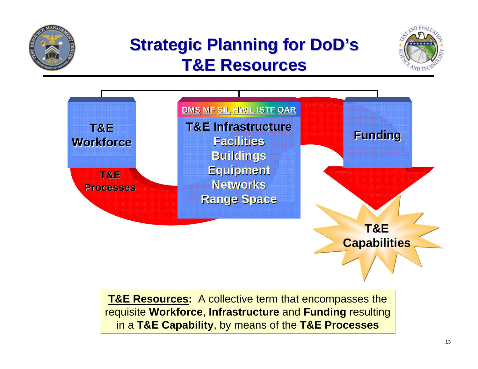

### **Strategic Planning for DoD's T&E Resources T&E Resources**





**T&E Resources:** A collective term that encompasses the requisite **Workforce**, **Infrastructure** and **Funding** resulting in a **T&E Capability**, by means of the **T&E Processes**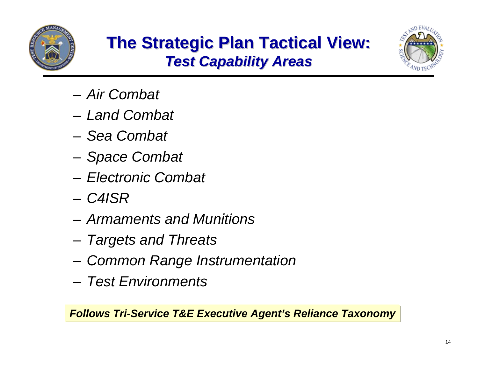



- *Air Combat*
- *Land Combat*
- *Sea Combat*
- *Space Combat*
- *Electronic Combat*
- *C4ISR*
- *Armaments and Munitions*
- *Targets and Threats*
- *Common Range Instrumentation*
- *Test Environments*

*Follows Tri-Service T&E Executive Agent's Reliance Taxonomy*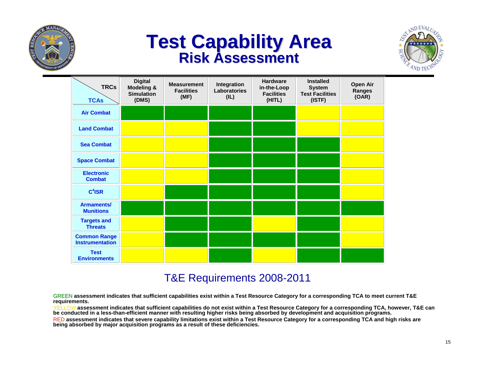

# **Test Capability Area <br>Risk Assessment**



| <b>TRCs</b><br><b>TCAs</b>                    | <b>Digital</b><br><b>Modeling &amp;</b><br><b>Simulation</b><br>(DMS) | <b>Measurement</b><br><b>Facilities</b><br>(MF) | Integration<br><b>Laboratories</b><br>(IL) | <b>Hardware</b><br>in-the-Loop<br><b>Facilities</b><br>(HITL) | <b>Installed</b><br><b>System</b><br><b>Test Facilities</b><br>(ISTF) | Open Air<br>Ranges<br>(OAR) |
|-----------------------------------------------|-----------------------------------------------------------------------|-------------------------------------------------|--------------------------------------------|---------------------------------------------------------------|-----------------------------------------------------------------------|-----------------------------|
| <b>Air Combat</b>                             |                                                                       |                                                 |                                            |                                                               |                                                                       |                             |
| <b>Land Combat</b>                            |                                                                       |                                                 |                                            |                                                               |                                                                       |                             |
| <b>Sea Combat</b>                             |                                                                       |                                                 |                                            |                                                               |                                                                       |                             |
| <b>Space Combat</b>                           |                                                                       |                                                 |                                            |                                                               |                                                                       |                             |
| <b>Electronic</b><br><b>Combat</b>            |                                                                       |                                                 |                                            |                                                               |                                                                       |                             |
| $C4$ ISR                                      |                                                                       |                                                 |                                            |                                                               |                                                                       |                             |
| <b>Armaments/</b><br><b>Munitions</b>         |                                                                       |                                                 |                                            |                                                               |                                                                       |                             |
| <b>Targets and</b><br><b>Threats</b>          |                                                                       |                                                 |                                            |                                                               |                                                                       |                             |
| <b>Common Range</b><br><b>Instrumentation</b> |                                                                       |                                                 |                                            |                                                               |                                                                       |                             |
| <b>Test</b><br><b>Environments</b>            |                                                                       |                                                 |                                            |                                                               |                                                                       |                             |

#### T&E Requirements 2008-2011

GREEN **assessment indicates that sufficient capabilities exist within a Test Resource Category for a corresponding TCA to meet current T&E requirements.**

YELLOW**assessment indicates that sufficient capabilities do not exist within a Test Resource Category for a corresponding TCA, however, T&E can be conducted in a less-than-efficient manner with resulting higher risks being absorbed by development and acquisition programs.** RED**assessment indicates that severe capability limitations exist within a Test Resource Category for a corresponding TCA and high risks are** 

**being absorbed by major acquisition programs as a result of these deficiencies.**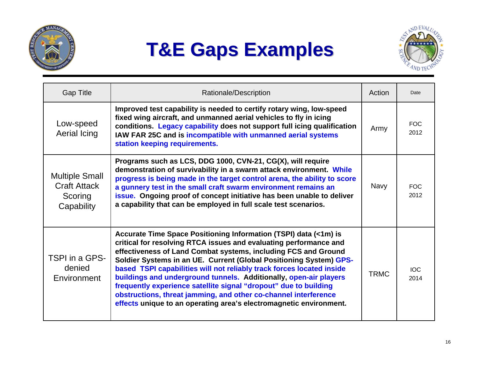

# **T&E Gaps Examples T&E Gaps Examples**



| <b>Gap Title</b>                                                      | Rationale/Description                                                                                                                                                                                                                                                                                                                                                                                                                                                                                                                                                                                                                    | Action      | Date               |
|-----------------------------------------------------------------------|------------------------------------------------------------------------------------------------------------------------------------------------------------------------------------------------------------------------------------------------------------------------------------------------------------------------------------------------------------------------------------------------------------------------------------------------------------------------------------------------------------------------------------------------------------------------------------------------------------------------------------------|-------------|--------------------|
| Low-speed<br>Aerial Icing                                             | Improved test capability is needed to certify rotary wing, low-speed<br>fixed wing aircraft, and unmanned aerial vehicles to fly in icing<br>conditions. Legacy capability does not support full icing qualification<br>IAW FAR 25C and is incompatible with unmanned aerial systems<br>station keeping requirements.                                                                                                                                                                                                                                                                                                                    | Army        | <b>FOC</b><br>2012 |
| <b>Multiple Small</b><br><b>Craft Attack</b><br>Scoring<br>Capability | Programs such as LCS, DDG 1000, CVN-21, CG(X), will require<br>demonstration of survivability in a swarm attack environment. While<br>progress is being made in the target control arena, the ability to score<br>a gunnery test in the small craft swarm environment remains an<br>issue. Ongoing proof of concept initiative has been unable to deliver<br>a capability that can be employed in full scale test scenarios.                                                                                                                                                                                                             | <b>Navy</b> | <b>FOC</b><br>2012 |
| TSPI in a GPS-<br>denied<br>Environment                               | Accurate Time Space Positioning Information (TSPI) data (<1m) is<br>critical for resolving RTCA issues and evaluating performance and<br>effectiveness of Land Combat systems, including FCS and Ground<br>Soldier Systems in an UE. Current (Global Positioning System) GPS-<br>based TSPI capabilities will not reliably track forces located inside<br>buildings and underground tunnels. Additionally, open-air players<br>frequently experience satellite signal "dropout" due to building<br>obstructions, threat jamming, and other co-channel interference<br>effects unique to an operating area's electromagnetic environment. | <b>TRMC</b> | IOC.<br>2014       |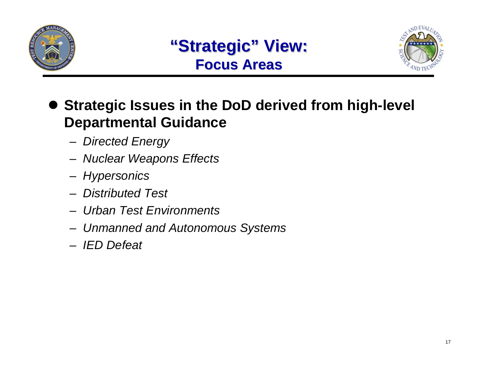



### **• Strategic Issues in the DoD derived from high-level Departmental Guidance**

- *Directed Energy*
- *Nuclear Weapons Effects*
- *Hypersonics*
- *Distributed Test*
- *Urban Test Environments*
- *Unmanned and Autonomous Systems*
- *IED Defeat*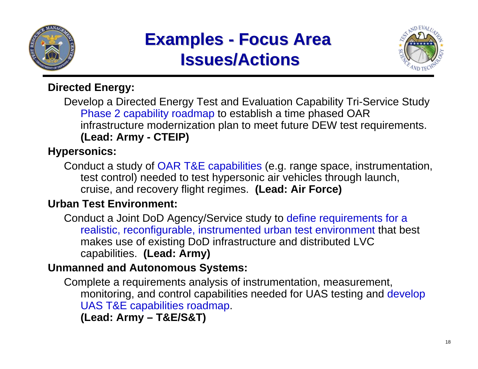

### **Examples - Focus Area Issues/Actions Issues/Actions**



#### **Directed Energy:**

Develop a Directed Energy Test and Evaluation Capability Tri-Service Study Phase 2 capability roadmap to establish a time phased OAR infrastructure modernization plan to meet future DEW test requirements. **(Lead: Army - CTEIP)**

#### **Hypersonics:**

Conduct a study of OAR T&E capabilities (e.g. range space, instrumentation, test control) needed to test hypersonic air vehicles through launch, cruise, and recovery flight regimes. **(Lead: Air Force)**

#### **Urban Test Environment:**

Conduct a Joint DoD Agency/Service study to define requirements for a realistic, reconfigurable, instrumented urban test environment that best makes use of existing DoD infrastructure and distributed LVC capabilities. **(Lead: Army)**

#### **Unmanned and Autonomous Systems:**

Complete a requirements analysis of instrumentation, measurement, monitoring, and control capabilities needed for UAS testing and develop UAS T&E capabilities roadmap.

**(Lead: Army – T&E/S&T)**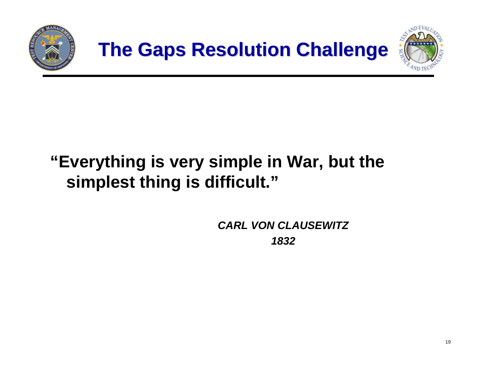



# **"Everything is very simple in War, but the simplest thing is difficult."**

*CARL VON CLAUSEWITZ 1832*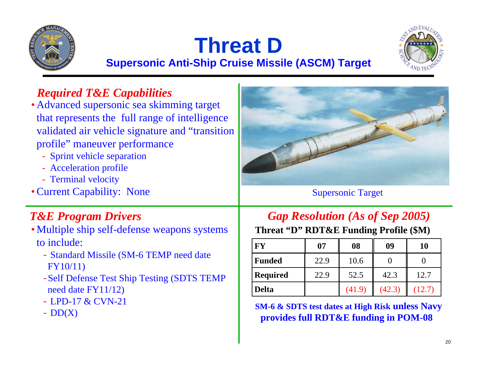

# **Threat D**



**Supersonic Anti-Ship Cruise Missile (ASCM) Target**

#### *Required T&E Capabilities*

• Advanced supersonic sea skimming target that represents the full range of intelligence validated air vehicle signature and "transition profile" maneuver performance

- Sprint vehicle separation
- Acceleration profile
- Terminal velocity
- Current Capability: None

- Multiple ship self-defense weapons systems to include:
	- Standard Missile (SM-6 TEMP need date FY10/11)
	- -Self Defense Test Ship Testing (SDTS TEMP need date FY11/12)
	- LPD-17 & CVN-21
	- $-DD(X)$



Supersonic Target

#### *T&E Program Drivers Gap Resolution (As of Sep 2005)*

#### **Threat "D" RDT&E Funding Profile (\$M)**

| FY              | 07   | 08     | 09     | 10     |
|-----------------|------|--------|--------|--------|
| <b>Funded</b>   | 22.9 | 10.6   |        |        |
| <b>Required</b> | 22.9 | 52.5   | 42.3   | 12.7   |
| <b>Delta</b>    |      | (41.9) | (42.3) | (12.7) |

**SM-6 & SDTS test dates at High Risk unless Navy<br>provides full RDT&E funding in POM-08**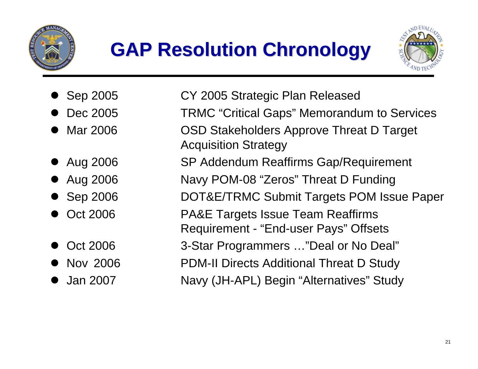

# **GAP Resolution Chronology GAP Resolution Chronology**



- $\bullet$
- $\bullet$
- $\bullet$
- Aug 2006
- Aug 2006
- $\bullet$  Sep 2006
- **Oct 2006**
- $\bullet$
- Nov 2006
- $\bullet$
- Sep 2005 CY 2005 Strategic Plan Released
	- Dec 2005 TRMC "Critical Gaps" Memorandum to Services
	- Mar 2006 OSD Stakeholders Approve Threat D Target Acquisition Strategy
		- SP Addendum Reaffirms Gap/Requirement
			- Navy POM-08 "Zeros" Threat D Funding
		- DOT&E/TRMC Submit Targets POM Issue Paper
		- PA&E Targets Issue Team Reaffirms
		- Requirement "End-user Pays" Offsets
- Oct 2006 3-Star Programmers …"Deal or No Deal"
	- **PDM-II Directs Additional Threat D Study**
- Jan 2007 Navy (JH-APL) Begin "Alternatives" Study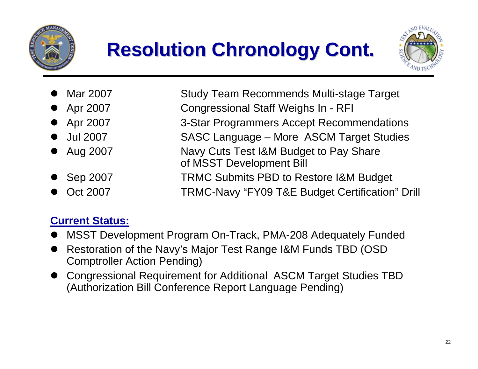



 $\bullet$  Mar 2007 Study Team Recommends Multi-stage Target  $\bullet$  Apr 2007 Congressional Staff Weighs In - RFI • Apr 2007 3-Star Programmers Accept Recommendations **Jul 2007** SASC Language – More ASCM Target Studies  $\bullet$  Aug 2007 Navy Cuts Test I&M Budget to Pay Share of MSST Development Bill  $\bullet$  Sep 2007 TRMC Submits PBD to Restore I&M Budget  $\bullet$ Oct 2007 TRMC-Navy "FY09 T&E Budget Certification" Drill

#### **Current Status:**

- $\bullet$ MSST Development Program On-Track, PMA-208 Adequately Funded
- $\bullet$  Restoration of the Navy's Major Test Range I&M Funds TBD (OSD Comptroller Action Pending)
- Congressional Requirement for Additional ASCM Target Studies TBD (Authorization Bill Conference Report Language Pending)